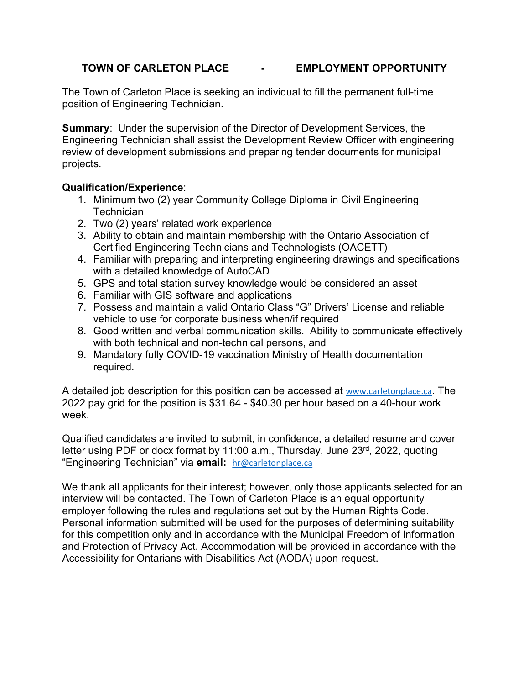# **TOWN OF CARLETON PLACE - EMPLOYMENT OPPORTUNITY**

The Town of Carleton Place is seeking an individual to fill the permanent full-time position of Engineering Technician.

**Summary**: Under the supervision of the Director of Development Services, the Engineering Technician shall assist the Development Review Officer with engineering review of development submissions and preparing tender documents for municipal projects.

## **Qualification/Experience**:

- 1. Minimum two (2) year Community College Diploma in Civil Engineering **Technician**
- 2. Two (2) years' related work experience
- 3. Ability to obtain and maintain membership with the Ontario Association of Certified Engineering Technicians and Technologists (OACETT)
- 4. Familiar with preparing and interpreting engineering drawings and specifications with a detailed knowledge of AutoCAD
- 5. GPS and total station survey knowledge would be considered an asset
- 6. Familiar with GIS software and applications
- 7. Possess and maintain a valid Ontario Class "G" Drivers' License and reliable vehicle to use for corporate business when/if required
- 8. Good written and verbal communication skills. Ability to communicate effectively with both technical and non-technical persons, and
- 9. Mandatory fully COVID-19 vaccination Ministry of Health documentation required.

A detailed job description for this position can be accessed at [www.carletonplace.ca](http://www.carletonplace.ca/). The 2022 pay grid for the position is \$31.64 - \$40.30 per hour based on a 40-hour work week.

Qualified candidates are invited to submit, in confidence, a detailed resume and cover letter using PDF or docx format by 11:00 a.m., Thursday, June 23<sup>rd</sup>, 2022, quoting "Engineering Technician" via **email:** [hr@carletonplace.ca](mailto:hr@carletonplace.ca)

We thank all applicants for their interest; however, only those applicants selected for an interview will be contacted. The Town of Carleton Place is an equal opportunity employer following the rules and regulations set out by the Human Rights Code. Personal information submitted will be used for the purposes of determining suitability for this competition only and in accordance with the Municipal Freedom of Information and Protection of Privacy Act. Accommodation will be provided in accordance with the Accessibility for Ontarians with Disabilities Act (AODA) upon request.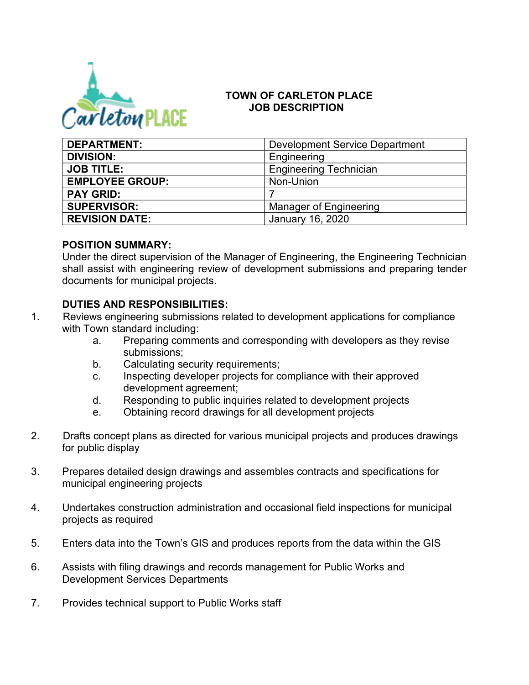

# **TOWN OF CARLETON PLACE JOB DESCRIPTION**

| <b>DEPARTMENT:</b>     | <b>Development Service Department</b> |
|------------------------|---------------------------------------|
| <b>DIVISION:</b>       | Engineering                           |
| <b>JOB TITLE:</b>      | <b>Engineering Technician</b>         |
| <b>EMPLOYEE GROUP:</b> | Non-Union                             |
| <b>PAY GRID:</b>       |                                       |
| <b>SUPERVISOR:</b>     | Manager of Engineering                |
| <b>REVISION DATE:</b>  | January 16, 2020                      |

### **POSITION SUMMARY:**

Under the direct supervision of the Manager of Engineering, the Engineering Technician shall assist with engineering review of development submissions and preparing tender documents for municipal projects.

# **DUTIES AND RESPONSIBILITIES:**

- 1. Reviews engineering submissions related to development applications for compliance with Town standard including:
	- a. Preparing comments and corresponding with developers as they revise submissions;
	- b. Calculating security requirements;
	- c. Inspecting developer projects for compliance with their approved development agreement;
	- d. Responding to public inquiries related to development projects
	- e. Obtaining record drawings for all development projects
- 2. Drafts concept plans as directed for various municipal projects and produces drawings for public display
- 3. Prepares detailed design drawings and assembles contracts and specifications for municipal engineering projects
- 4. Undertakes construction administration and occasional field inspections for municipal projects as required
- 5. Enters data into the Town's GIS and produces reports from the data within the GIS
- 6. Assists with filing drawings and records management for Public Works and Development Services Departments
- 7. Provides technical support to Public Works staff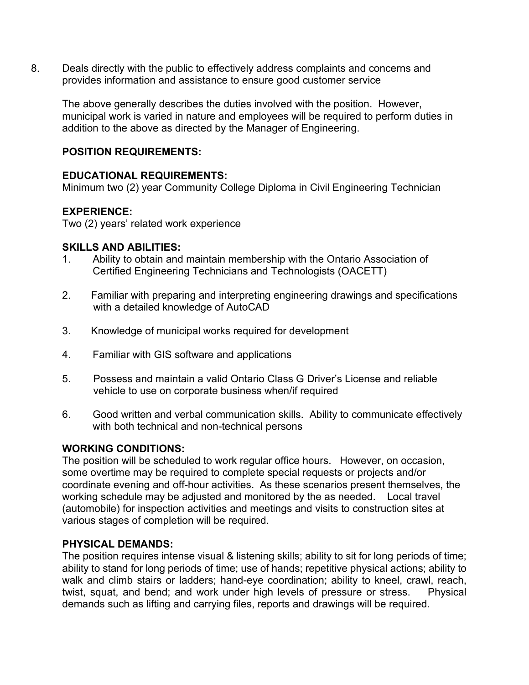8. Deals directly with the public to effectively address complaints and concerns and provides information and assistance to ensure good customer service

The above generally describes the duties involved with the position. However, municipal work is varied in nature and employees will be required to perform duties in addition to the above as directed by the Manager of Engineering.

## **POSITION REQUIREMENTS:**

# **EDUCATIONAL REQUIREMENTS:**

Minimum two (2) year Community College Diploma in Civil Engineering Technician

## **EXPERIENCE:**

Two (2) years' related work experience

### **SKILLS AND ABILITIES:**

- 1. Ability to obtain and maintain membership with the Ontario Association of Certified Engineering Technicians and Technologists (OACETT)
- 2. Familiar with preparing and interpreting engineering drawings and specifications with a detailed knowledge of AutoCAD
- 3. Knowledge of municipal works required for development
- 4. Familiar with GIS software and applications
- 5. Possess and maintain a valid Ontario Class G Driver's License and reliable vehicle to use on corporate business when/if required
- 6. Good written and verbal communication skills. Ability to communicate effectively with both technical and non-technical persons

# **WORKING CONDITIONS:**

The position will be scheduled to work regular office hours. However, on occasion, some overtime may be required to complete special requests or projects and/or coordinate evening and off-hour activities. As these scenarios present themselves, the working schedule may be adjusted and monitored by the as needed. Local travel (automobile) for inspection activities and meetings and visits to construction sites at various stages of completion will be required.

### **PHYSICAL DEMANDS:**

The position requires intense visual & listening skills; ability to sit for long periods of time; ability to stand for long periods of time; use of hands; repetitive physical actions; ability to walk and climb stairs or ladders; hand-eye coordination; ability to kneel, crawl, reach, twist, squat, and bend; and work under high levels of pressure or stress. Physical demands such as lifting and carrying files, reports and drawings will be required.